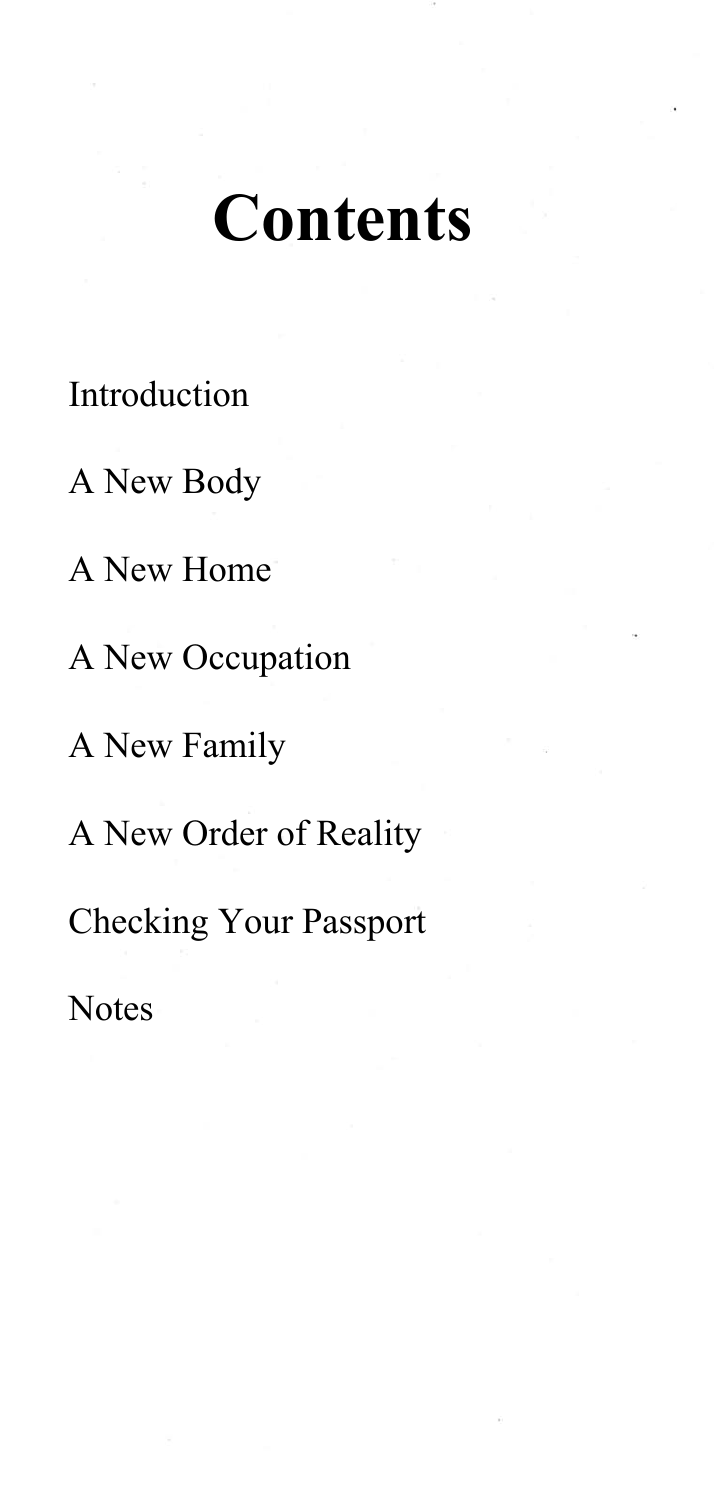## **Contents**

## [Introduction](#page-1-0)

- A New Body
- A New Home
- A New Occupation
- A New Family
- A New Order of Reality
- Checking Your Passport
- **Notes**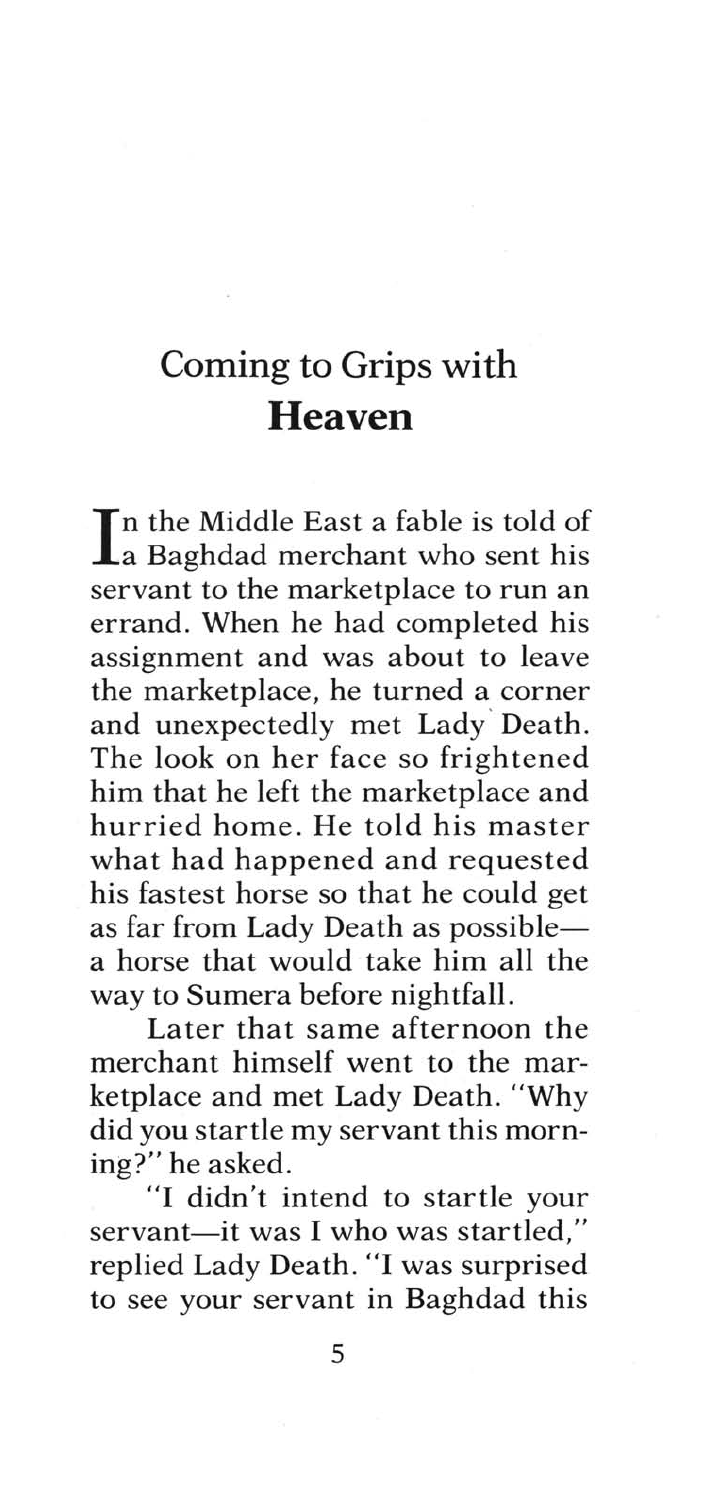## <span id="page-1-0"></span>**Coming to Grips with Heaven**

 $\prod$ n the Middle East a fable is told of<br> $\prod$ a Baghdad merchant who sent his servant to the marketplace to run an errand. When he had completed his assignment and was about to leave the marketplace, he turned a corner and unexpectedly met Lady ' Death. The look on her face so frightened him that he left the marketplace and hurried home. He told his master what had happened and requested his fastest horse so that he could get as far from Lady Death as possiblea horse that would take him all the way to Sumera before nightfall.

Later that same afternoon the merchant himself went to the marketplace and met Lady Death. "Why did you startle my servant this morning?" he asked.

"I didn't intend to startle your servant-it was I who was startled," replied Lady Death. "I was surprised to see your servant in Baghdad this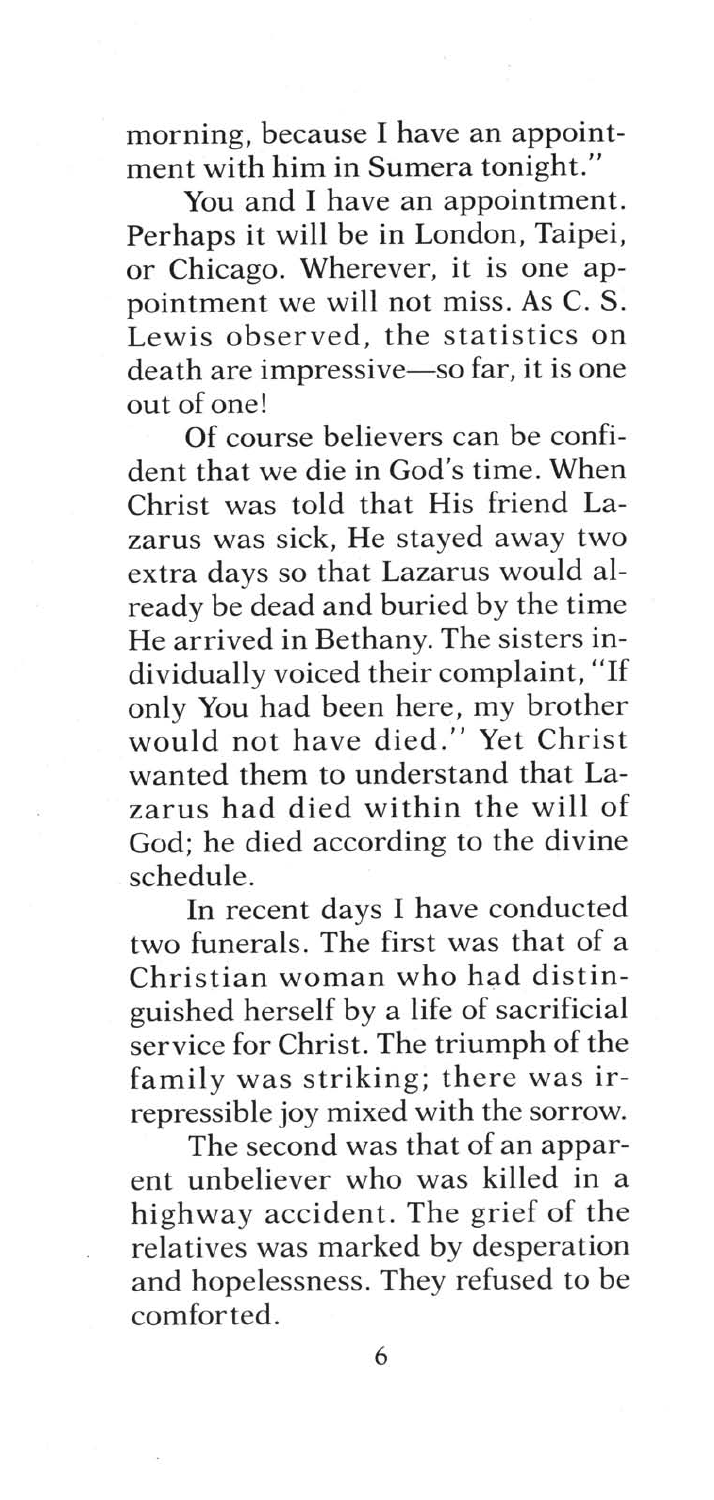morning, because I have an appointment with him in Sumera tonight."

You and I have an appointment. Perhaps it will be in London, Taipei, or Chicago. Wherever, it is one appointment we will not miss. As C. S. Lewis observed, the statistics on death are impressive-so far, it is one out of one!

Of course believers can be confident that we die in God's time . When Christ was told that His friend Lazarus was sick, He stayed away two extra days so that Lazarus would already be dead and buried by the time He arrived in Bethany. The sisters individually voiced their complaint, "If only You had been here, my brother would not have died." Yet Christ wanted them to understand that Lazarus had died within the will of God; he died according to the divine schedule.

**In** recent days I have conducted two funerals. The first was that of a Christian woman who had distinguished herself by a life of sacrificial service for Christ. The triumph of the family was striking; there was irrepressible joy mixed with the sorrow.

The second was that of an apparent unbeliever who was killed in a highway accident. The grief of the relatives was marked by desperation and hopelessness. They refused to be comforted.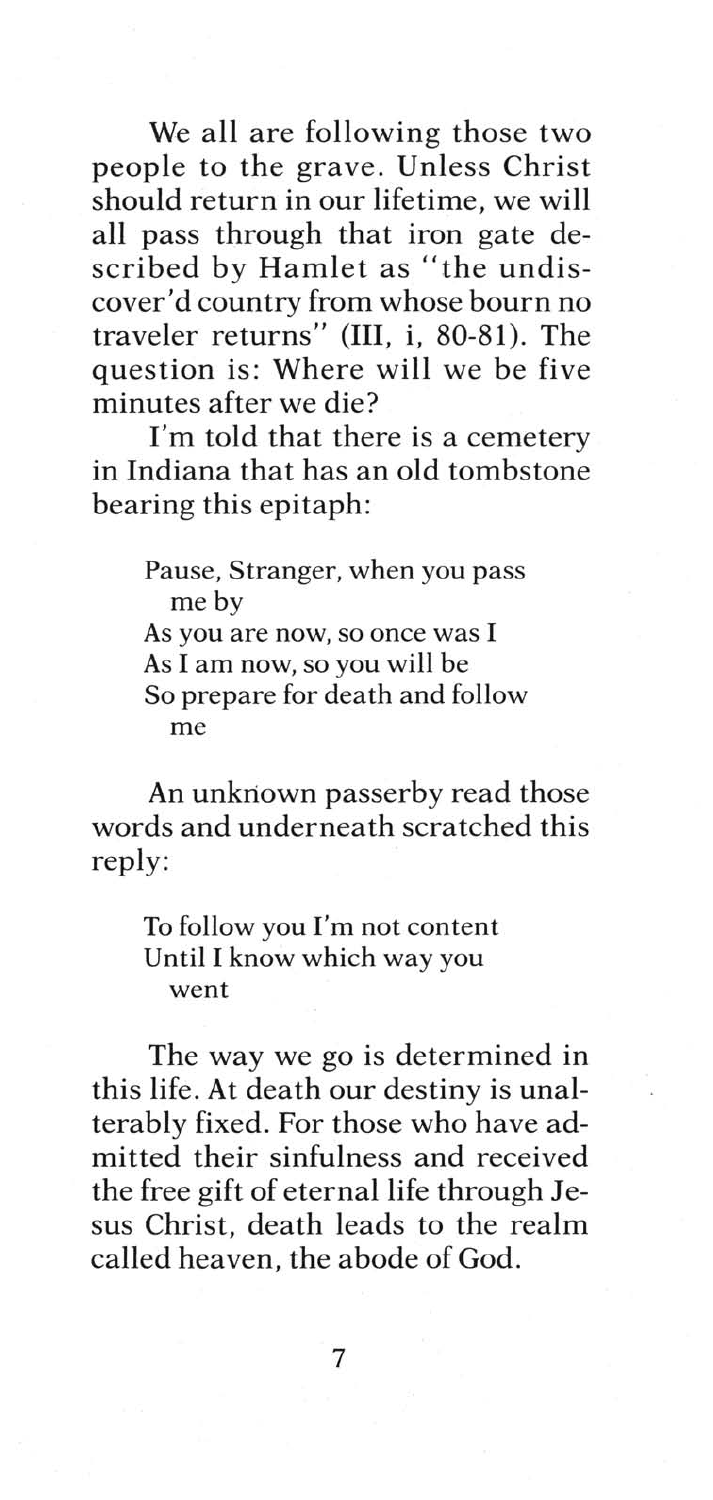We all are following those two people to the grave. Unless Christ should return in our lifetime, we will all pass through that iron gate described by Hamlet as "the undiscover'd country from whose bourn no traveler returns" (III, i, 80-81). The question is: Where will we be five minutes after we die?

I'm told that there is a cemetery in Indiana that has an old tombstone bearing this epitaph:

> Pause, Stranger, when you pass me by As you are now, so once was I As I am now, so you will be So prepare for death and follow me

An unknown passerby read those words and underneath scratched this reply:

To follow you I'm not content Until I know which way you went

The way we go is determined in this life. At death our destiny is unalterably fixed. For those who have admitted their sinfulness and received the free gift of eternal life through Jesus Christ, death leads to the realm called heaven, the abode of God.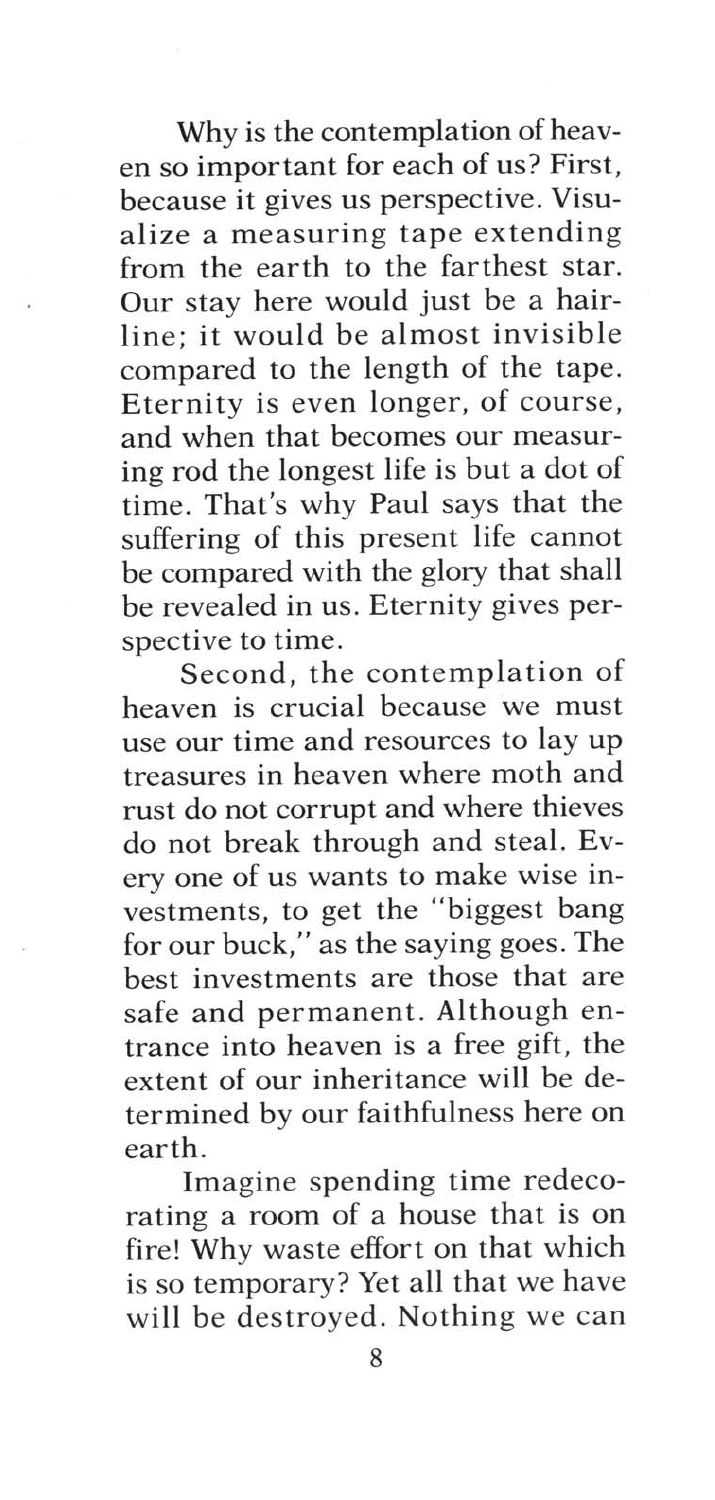Why is the contemplation of heaven so important for each of us? First, because it gives us perspective. Visualize a measuring tape extending from the earth to the farthest star. Our stay here would just be a hairline; it would be almost invisible compared to the length of the tape. Eternity is even longer, of course, and when that becomes our measuring rod the longest life is but a dot of time. That's why Paul says that the suffering of this present life cannot be compared with the glory that shall be revealed in us. Eternity gives perspective to time.

Second, the contemplation of heaven is crucial because we must use our time and resources to lay up treasures in heaven where moth and rust do not corrupt and where thieves do not break through and steal. Every one of us wants to make wise investments, to get the "biggest bang for our buck," as the saying goes. The best investments are those that are safe and permanent. Although entrance into heaven is a free gift, the extent of our inheritance will be determined by our faithfulness here on earth.

Imagine spending time redecorating a room of a house that is on fire! Why waste effort on that which is so temporary? Yet all that we have will be destroyed. Nothing we can